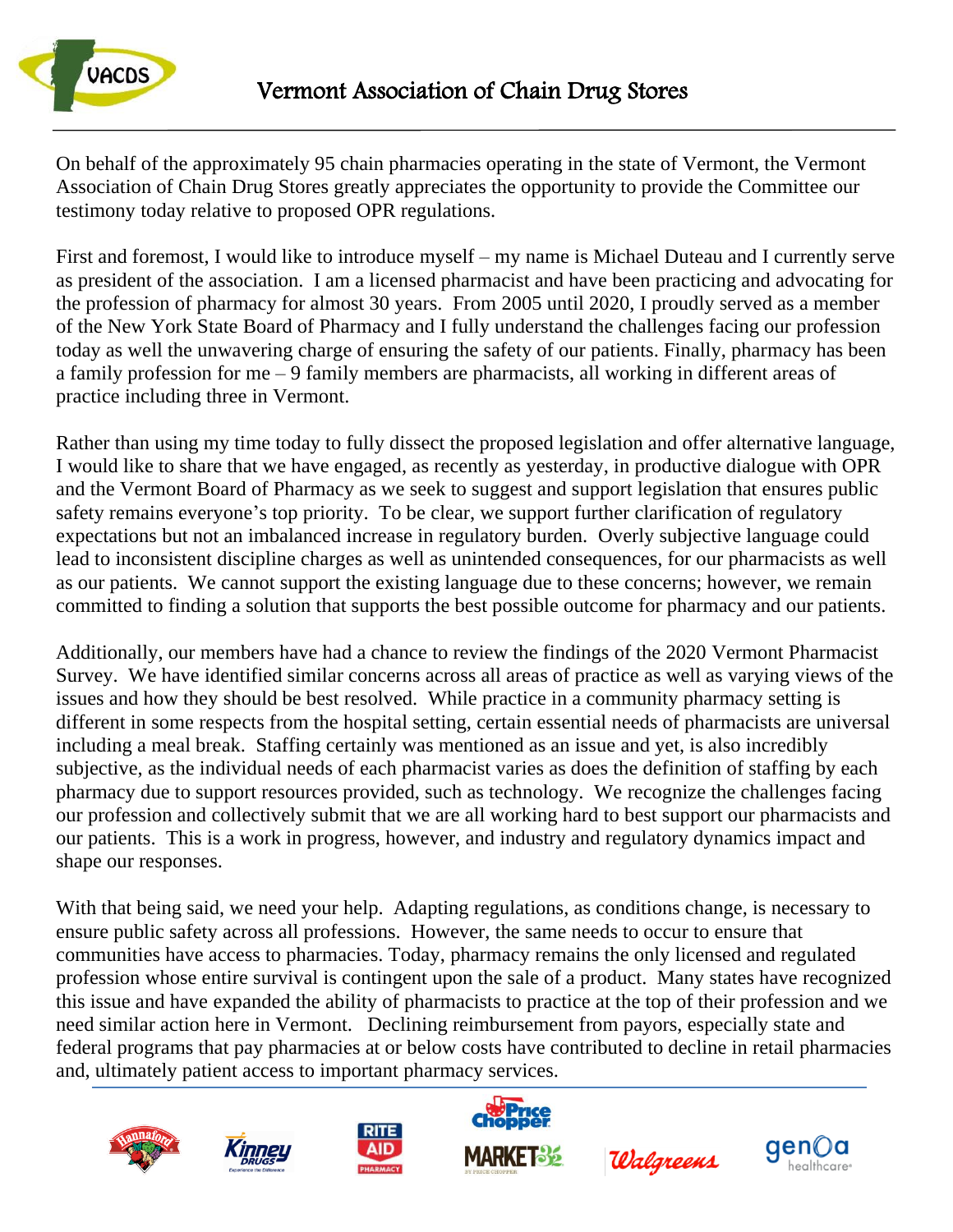

On behalf of the approximately 95 chain pharmacies operating in the state of Vermont, the Vermont Association of Chain Drug Stores greatly appreciates the opportunity to provide the Committee our testimony today relative to proposed OPR regulations.

First and foremost, I would like to introduce myself – my name is Michael Duteau and I currently serve as president of the association. I am a licensed pharmacist and have been practicing and advocating for the profession of pharmacy for almost 30 years. From 2005 until 2020, I proudly served as a member of the New York State Board of Pharmacy and I fully understand the challenges facing our profession today as well the unwavering charge of ensuring the safety of our patients. Finally, pharmacy has been a family profession for me – 9 family members are pharmacists, all working in different areas of practice including three in Vermont.

Rather than using my time today to fully dissect the proposed legislation and offer alternative language, I would like to share that we have engaged, as recently as yesterday, in productive dialogue with OPR and the Vermont Board of Pharmacy as we seek to suggest and support legislation that ensures public safety remains everyone's top priority. To be clear, we support further clarification of regulatory expectations but not an imbalanced increase in regulatory burden. Overly subjective language could lead to inconsistent discipline charges as well as unintended consequences, for our pharmacists as well as our patients. We cannot support the existing language due to these concerns; however, we remain committed to finding a solution that supports the best possible outcome for pharmacy and our patients.

Additionally, our members have had a chance to review the findings of the 2020 Vermont Pharmacist Survey. We have identified similar concerns across all areas of practice as well as varying views of the issues and how they should be best resolved. While practice in a community pharmacy setting is different in some respects from the hospital setting, certain essential needs of pharmacists are universal including a meal break. Staffing certainly was mentioned as an issue and yet, is also incredibly subjective, as the individual needs of each pharmacist varies as does the definition of staffing by each pharmacy due to support resources provided, such as technology. We recognize the challenges facing our profession and collectively submit that we are all working hard to best support our pharmacists and our patients. This is a work in progress, however, and industry and regulatory dynamics impact and shape our responses.

With that being said, we need your help. Adapting regulations, as conditions change, is necessary to ensure public safety across all professions. However, the same needs to occur to ensure that communities have access to pharmacies. Today, pharmacy remains the only licensed and regulated profession whose entire survival is contingent upon the sale of a product. Many states have recognized this issue and have expanded the ability of pharmacists to practice at the top of their profession and we need similar action here in Vermont. Declining reimbursement from payors, especially state and federal programs that pay pharmacies at or below costs have contributed to decline in retail pharmacies and, ultimately patient access to important pharmacy services.











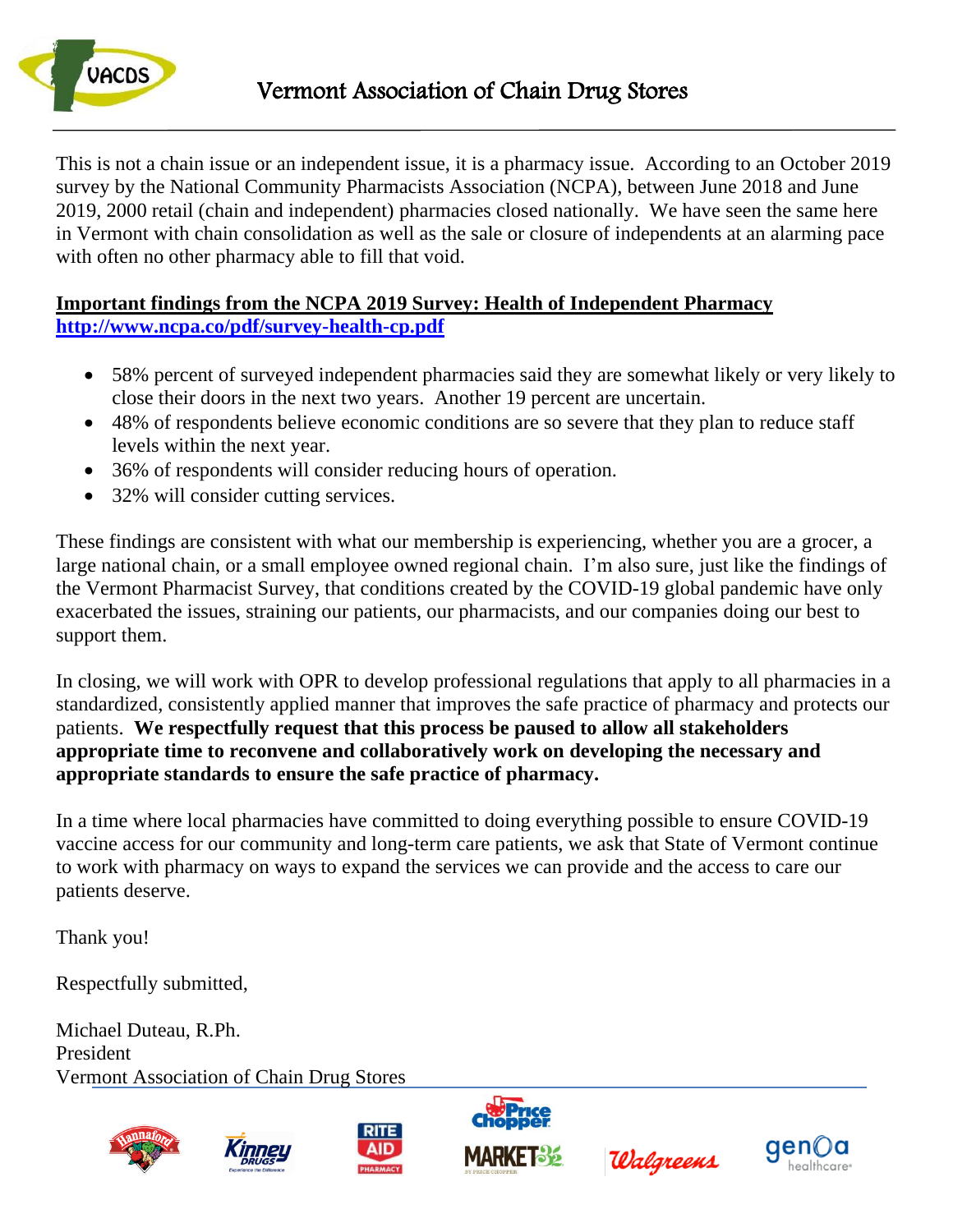

This is not a chain issue or an independent issue, it is a pharmacy issue. According to an October 2019 survey by the National Community Pharmacists Association (NCPA), between June 2018 and June 2019, 2000 retail (chain and independent) pharmacies closed nationally. We have seen the same here in Vermont with chain consolidation as well as the sale or closure of independents at an alarming pace with often no other pharmacy able to fill that void.

#### **Important findings from the NCPA 2019 Survey: Health of Independent Pharmacy <http://www.ncpa.co/pdf/survey-health-cp.pdf>**

- 58% percent of surveyed independent pharmacies said they are somewhat likely or very likely to close their doors in the next two years. Another 19 percent are uncertain.
- 48% of respondents believe economic conditions are so severe that they plan to reduce staff levels within the next year.
- 36% of respondents will consider reducing hours of operation.
- 32% will consider cutting services.

These findings are consistent with what our membership is experiencing, whether you are a grocer, a large national chain, or a small employee owned regional chain. I'm also sure, just like the findings of the Vermont Pharmacist Survey, that conditions created by the COVID-19 global pandemic have only exacerbated the issues, straining our patients, our pharmacists, and our companies doing our best to support them.

In closing, we will work with OPR to develop professional regulations that apply to all pharmacies in a standardized, consistently applied manner that improves the safe practice of pharmacy and protects our patients. **We respectfully request that this process be paused to allow all stakeholders appropriate time to reconvene and collaboratively work on developing the necessary and appropriate standards to ensure the safe practice of pharmacy.** 

In a time where local pharmacies have committed to doing everything possible to ensure COVID-19 vaccine access for our community and long-term care patients, we ask that State of Vermont continue to work with pharmacy on ways to expand the services we can provide and the access to care our patients deserve.

Thank you!

Respectfully submitted,

Michael Duteau, R.Ph. President Vermont Association of Chain Drug Stores









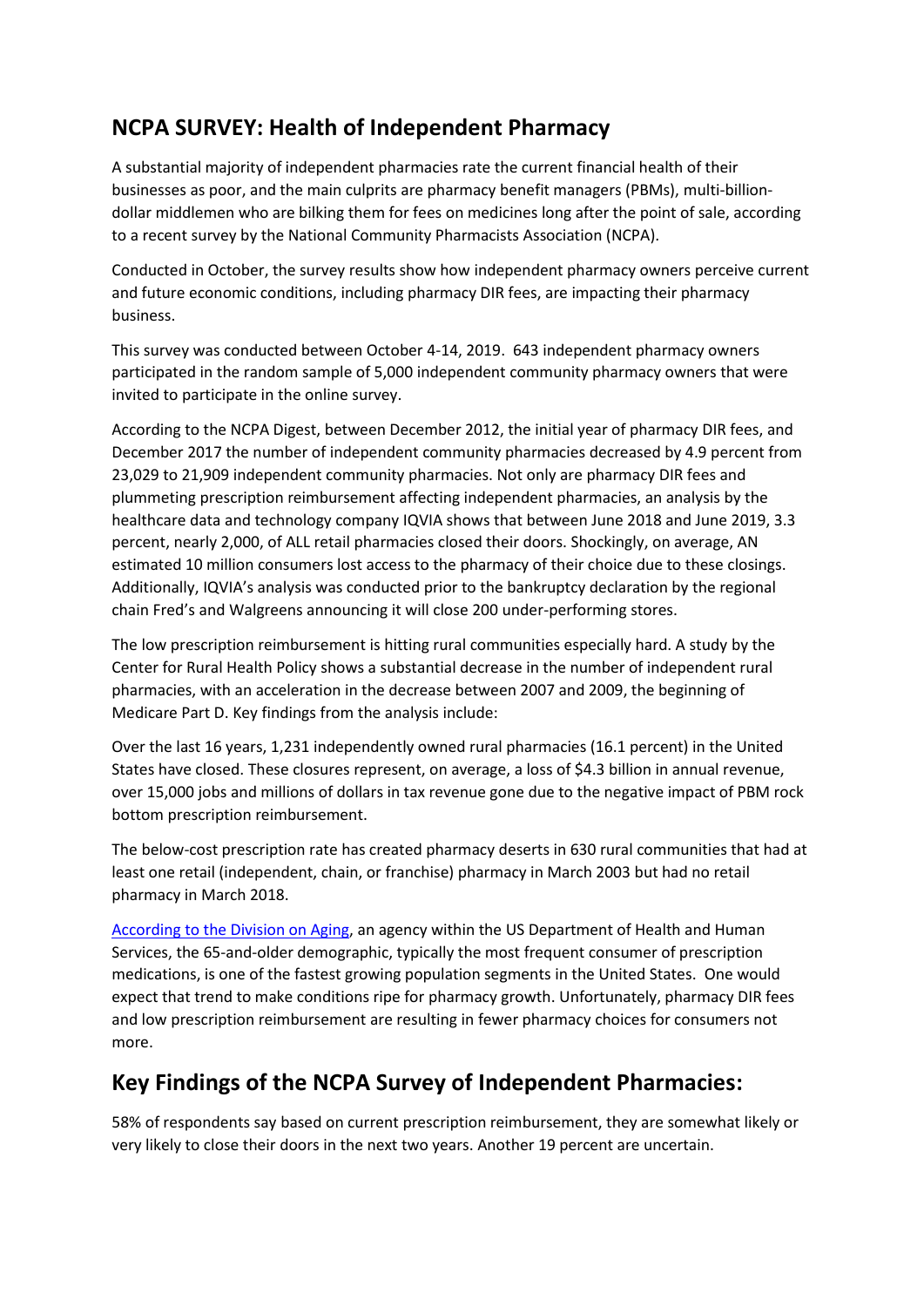## **NCPA SURVEY: Health of Independent Pharmacy**

A substantial majority of independent pharmacies rate the current financial health of their businesses as poor, and the main culprits are pharmacy benefit managers (PBMs), multi-billiondollar middlemen who are bilking them for fees on medicines long after the point of sale, according to a recent survey by the National Community Pharmacists Association (NCPA).

Conducted in October, the survey results show how independent pharmacy owners perceive current and future economic conditions, including pharmacy DIR fees, are impacting their pharmacy business.

This survey was conducted between October 4-14, 2019. 643 independent pharmacy owners participated in the random sample of 5,000 independent community pharmacy owners that were invited to participate in the online survey.

According to the NCPA Digest, between December 2012, the initial year of pharmacy DIR fees, and December 2017 the number of independent community pharmacies decreased by 4.9 percent from 23,029 to 21,909 independent community pharmacies. Not only are pharmacy DIR fees and plummeting prescription reimbursement affecting independent pharmacies, an analysis by the healthcare data and technology company IQVIA shows that between June 2018 and June 2019, 3.3 percent, nearly 2,000, of ALL retail pharmacies closed their doors. Shockingly, on average, AN estimated 10 million consumers lost access to the pharmacy of their choice due to these closings. Additionally, IQVIA's analysis was conducted prior to the bankruptcy declaration by the regional chain Fred's and Walgreens announcing it will close 200 under-performing stores.

The low prescription reimbursement is hitting rural communities especially hard. A study by the Center for Rural Health Policy shows a substantial decrease in the number of independent rural pharmacies, with an acceleration in the decrease between 2007 and 2009, the beginning of Medicare Part D. Key findings from the analysis include:

Over the last 16 years, 1,231 independently owned rural pharmacies (16.1 percent) in the United States have closed. These closures represent, on average, a loss of \$4.3 billion in annual revenue, over 15,000 jobs and millions of dollars in tax revenue gone due to the negative impact of PBM rock bottom prescription reimbursement.

The below-cost prescription rate has created pharmacy deserts in 630 rural communities that had at least one retail (independent, chain, or franchise) pharmacy in March 2003 but had no retail pharmacy in March 2018.

[According to the Division on Aging,](https://acl.gov/sites/default/files/Aging%20and%20Disability%20in%20America/2017OlderAmericansProfile.pdf) an agency within the US Department of Health and Human Services, the 65-and-older demographic, typically the most frequent consumer of prescription medications, is one of the fastest growing population segments in the United States. One would expect that trend to make conditions ripe for pharmacy growth. Unfortunately, pharmacy DIR fees and low prescription reimbursement are resulting in fewer pharmacy choices for consumers not more.

## **Key Findings of the NCPA Survey of Independent Pharmacies:**

58% of respondents say based on current prescription reimbursement, they are somewhat likely or very likely to close their doors in the next two years. Another 19 percent are uncertain.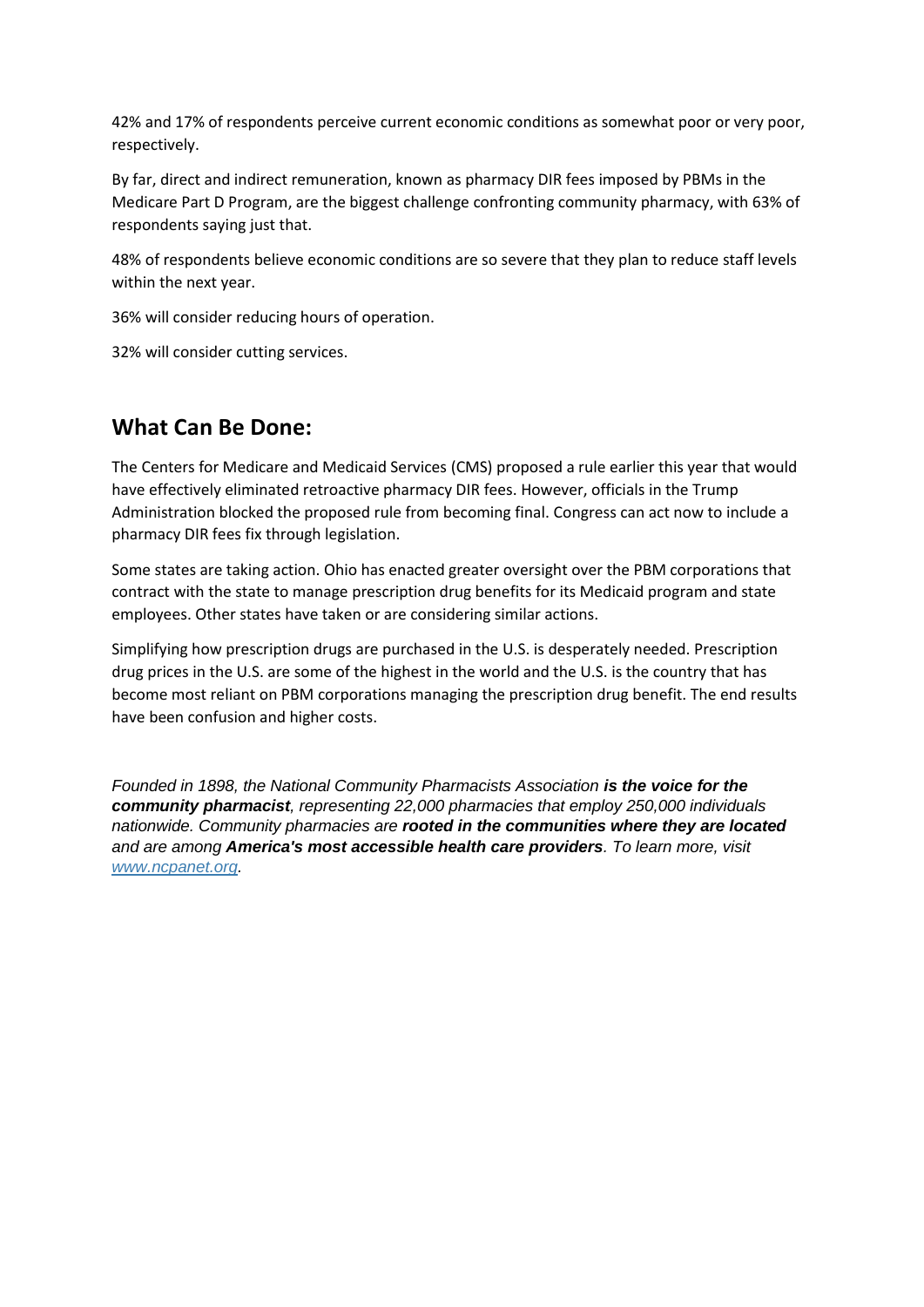42% and 17% of respondents perceive current economic conditions as somewhat poor or very poor, respectively.

By far, direct and indirect remuneration, known as pharmacy DIR fees imposed by PBMs in the Medicare Part D Program, are the biggest challenge confronting community pharmacy, with 63% of respondents saying just that.

48% of respondents believe economic conditions are so severe that they plan to reduce staff levels within the next year.

36% will consider reducing hours of operation.

32% will consider cutting services.

#### **What Can Be Done:**

The Centers for Medicare and Medicaid Services (CMS) proposed a rule earlier this year that would have effectively eliminated retroactive pharmacy DIR fees. However, officials in the Trump Administration blocked the proposed rule from becoming final. Congress can act now to include a pharmacy DIR fees fix through legislation.

Some states are taking action. Ohio has enacted greater oversight over the PBM corporations that contract with the state to manage prescription drug benefits for its Medicaid program and state employees. Other states have taken or are considering similar actions.

Simplifying how prescription drugs are purchased in the U.S. is desperately needed. Prescription drug prices in the U.S. are some of the highest in the world and the U.S. is the country that has become most reliant on PBM corporations managing the prescription drug benefit. The end results have been confusion and higher costs.

*Founded in 1898, the National Community Pharmacists Association is the voice for the community pharmacist, representing 22,000 pharmacies that employ 250,000 individuals nationwide. Community pharmacies are rooted in the communities where they are located and are among America's most accessible health care providers. To learn more, visit [www.ncpanet.org.](http://www.ncpanet.org/)*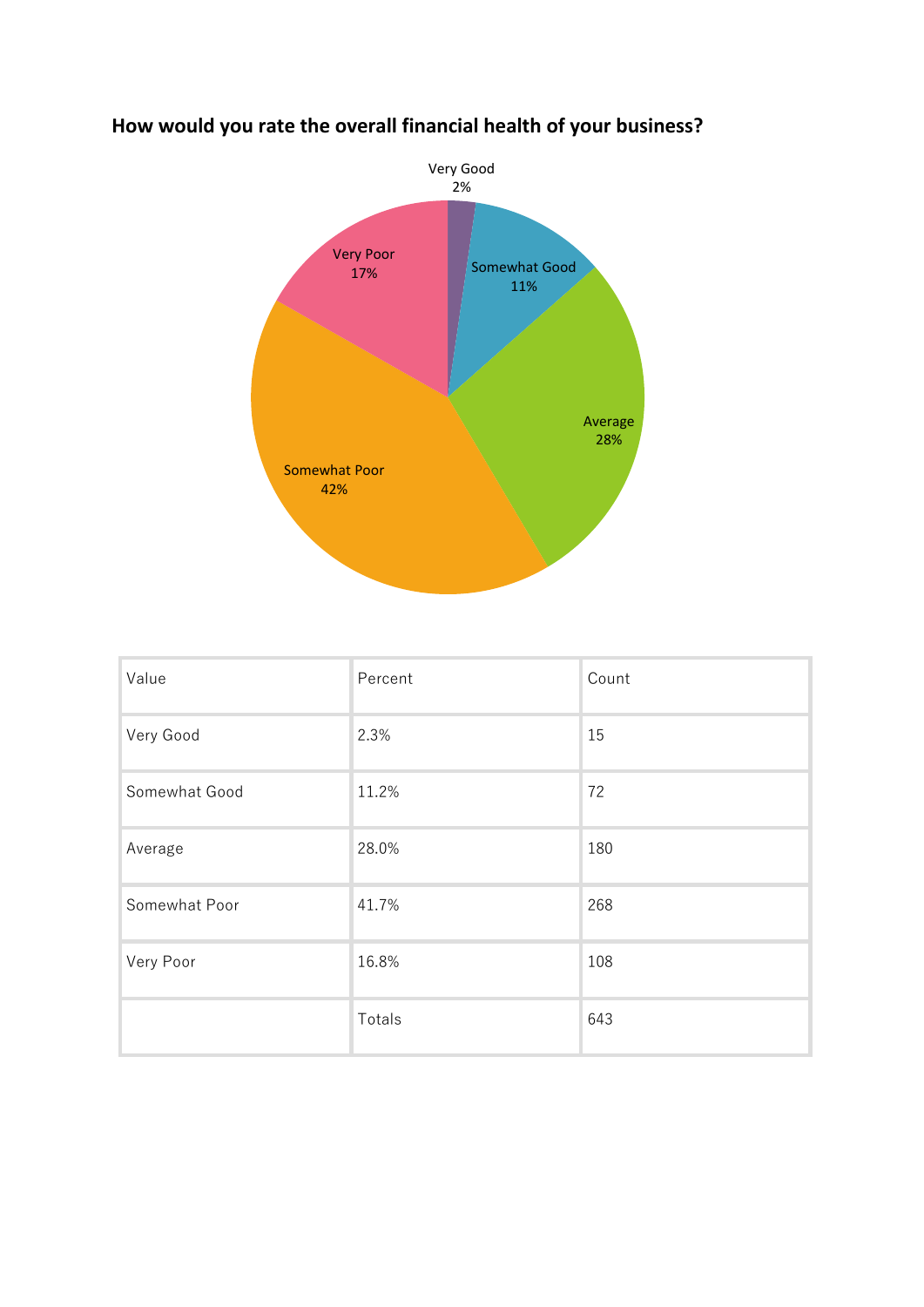

# **How would you rate the overall financial health of your business?**

| Value         | Percent | Count |
|---------------|---------|-------|
| Very Good     | 2.3%    | 15    |
| Somewhat Good | 11.2%   | 72    |
| Average       | 28.0%   | 180   |
| Somewhat Poor | 41.7%   | 268   |
| Very Poor     | 16.8%   | 108   |
|               | Totals  | 643   |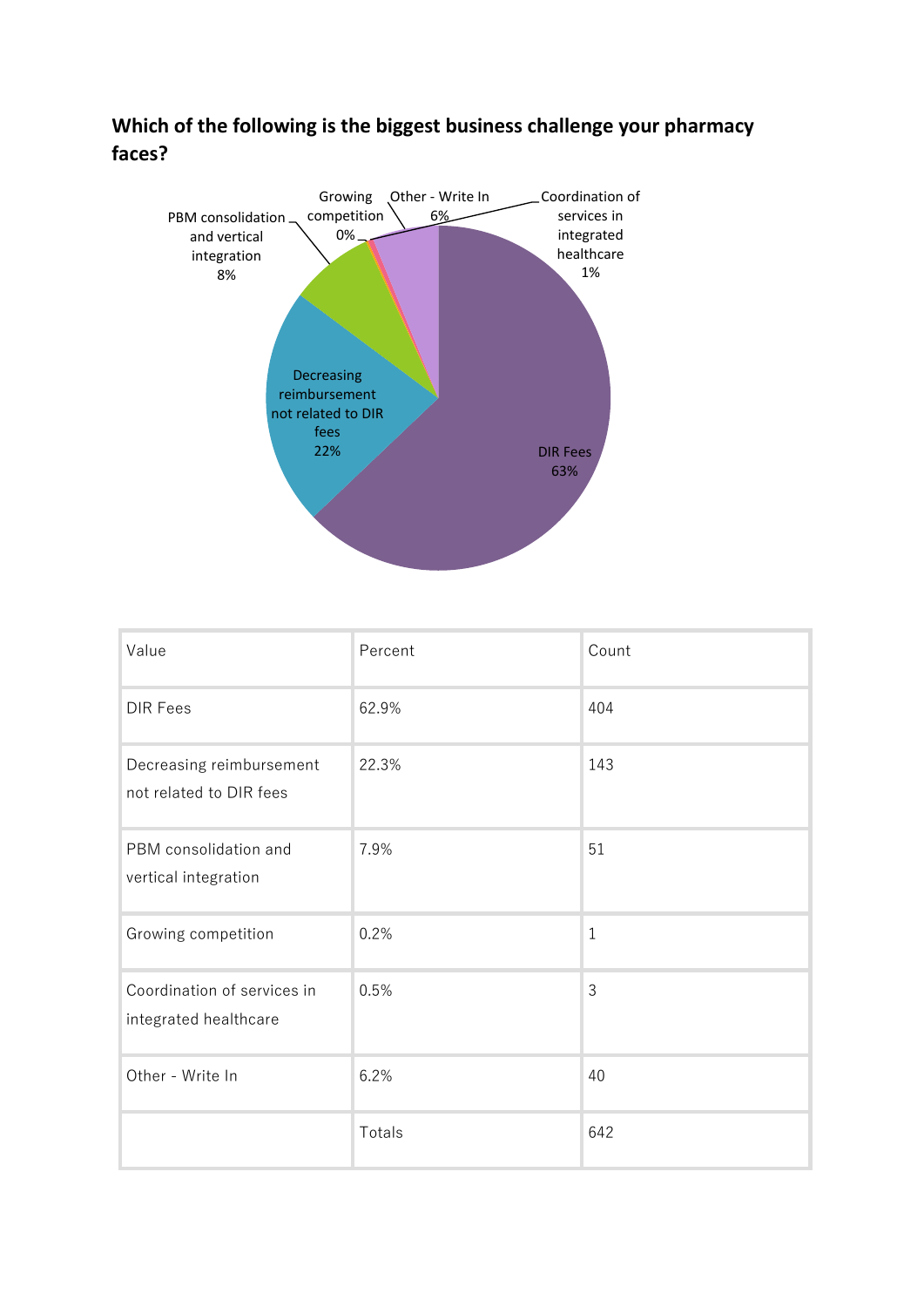



| Value                                                | Percent | Count |
|------------------------------------------------------|---------|-------|
| <b>DIR Fees</b>                                      | 62.9%   | 404   |
| Decreasing reimbursement<br>not related to DIR fees  | 22.3%   | 143   |
| PBM consolidation and<br>vertical integration        | 7.9%    | 51    |
| Growing competition                                  | 0.2%    | $1\,$ |
| Coordination of services in<br>integrated healthcare | 0.5%    | 3     |
| Other - Write In                                     | 6.2%    | 40    |
|                                                      | Totals  | 642   |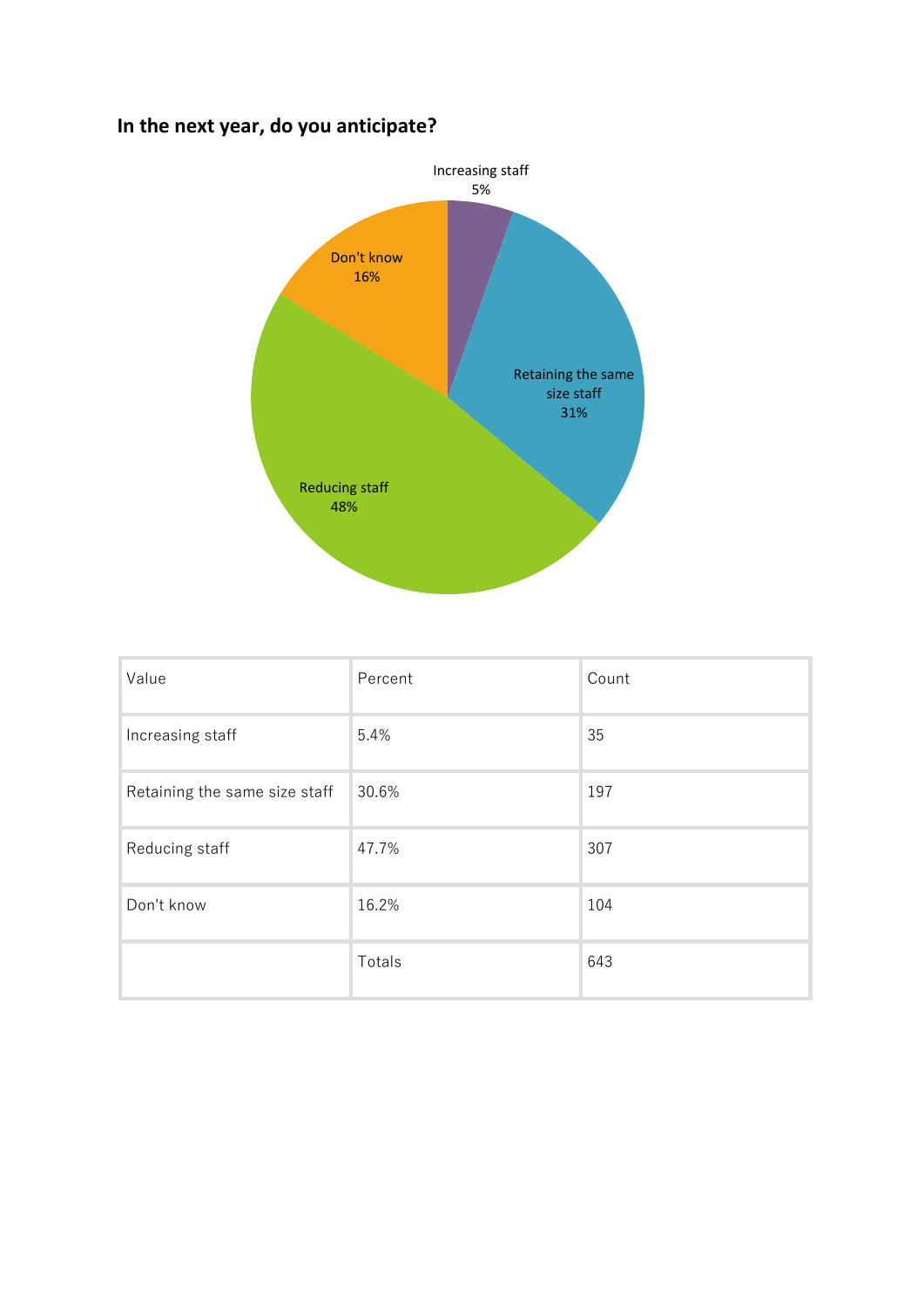# **In the next year, do you anticipate?**



| Value                         | Percent | Count |
|-------------------------------|---------|-------|
| Increasing staff              | 5.4%    | 35    |
| Retaining the same size staff | 30.6%   | 197   |
| Reducing staff                | 47.7%   | 307   |
| Don't know                    | 16.2%   | 104   |
|                               | Totals  | 643   |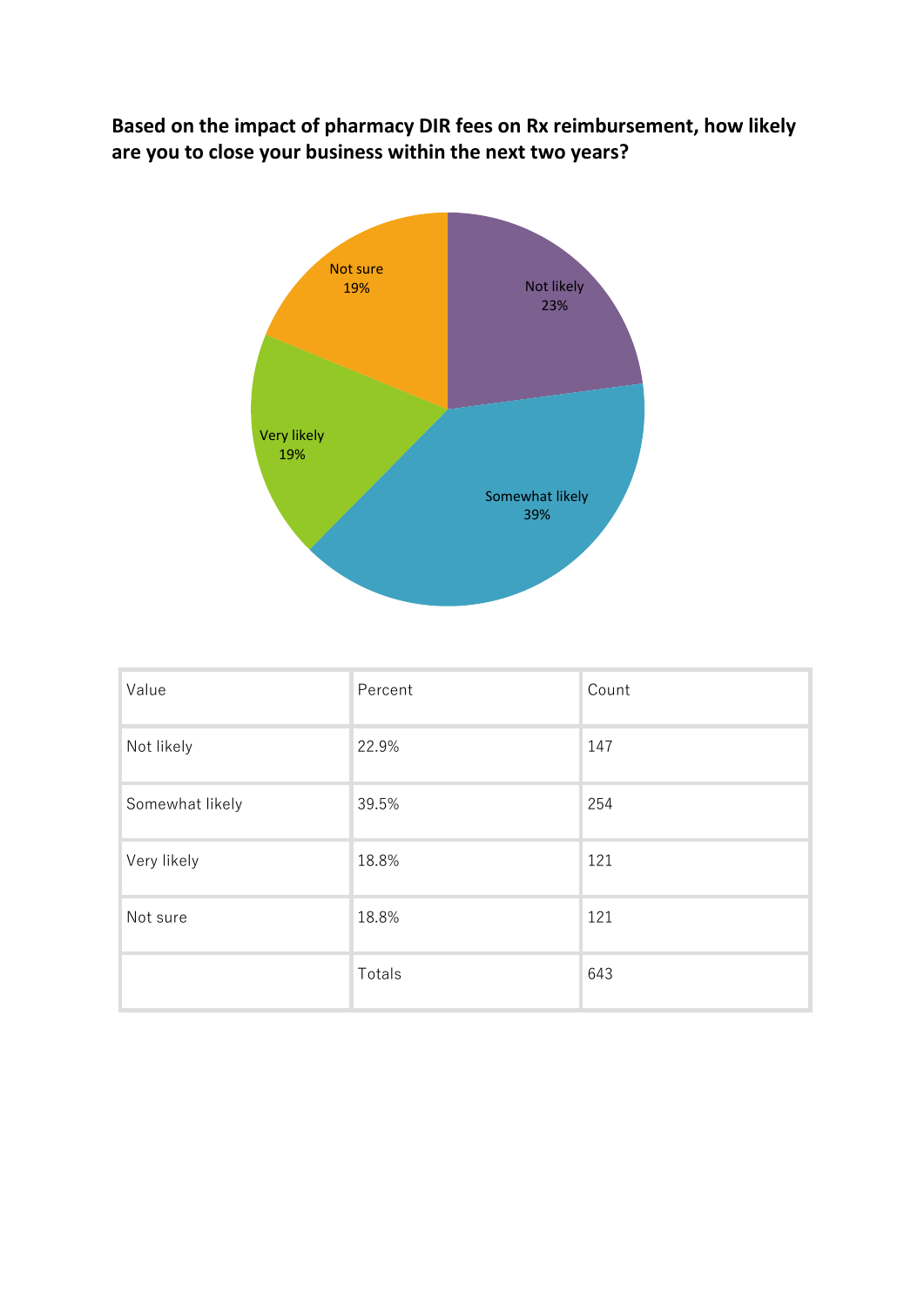**Based on the impact of pharmacy DIR fees on Rx reimbursement, how likely are you to close your business within the next two years?**



| Value           | Percent | Count |
|-----------------|---------|-------|
| Not likely      | 22.9%   | 147   |
| Somewhat likely | 39.5%   | 254   |
| Very likely     | 18.8%   | 121   |
| Not sure        | 18.8%   | 121   |
|                 | Totals  | 643   |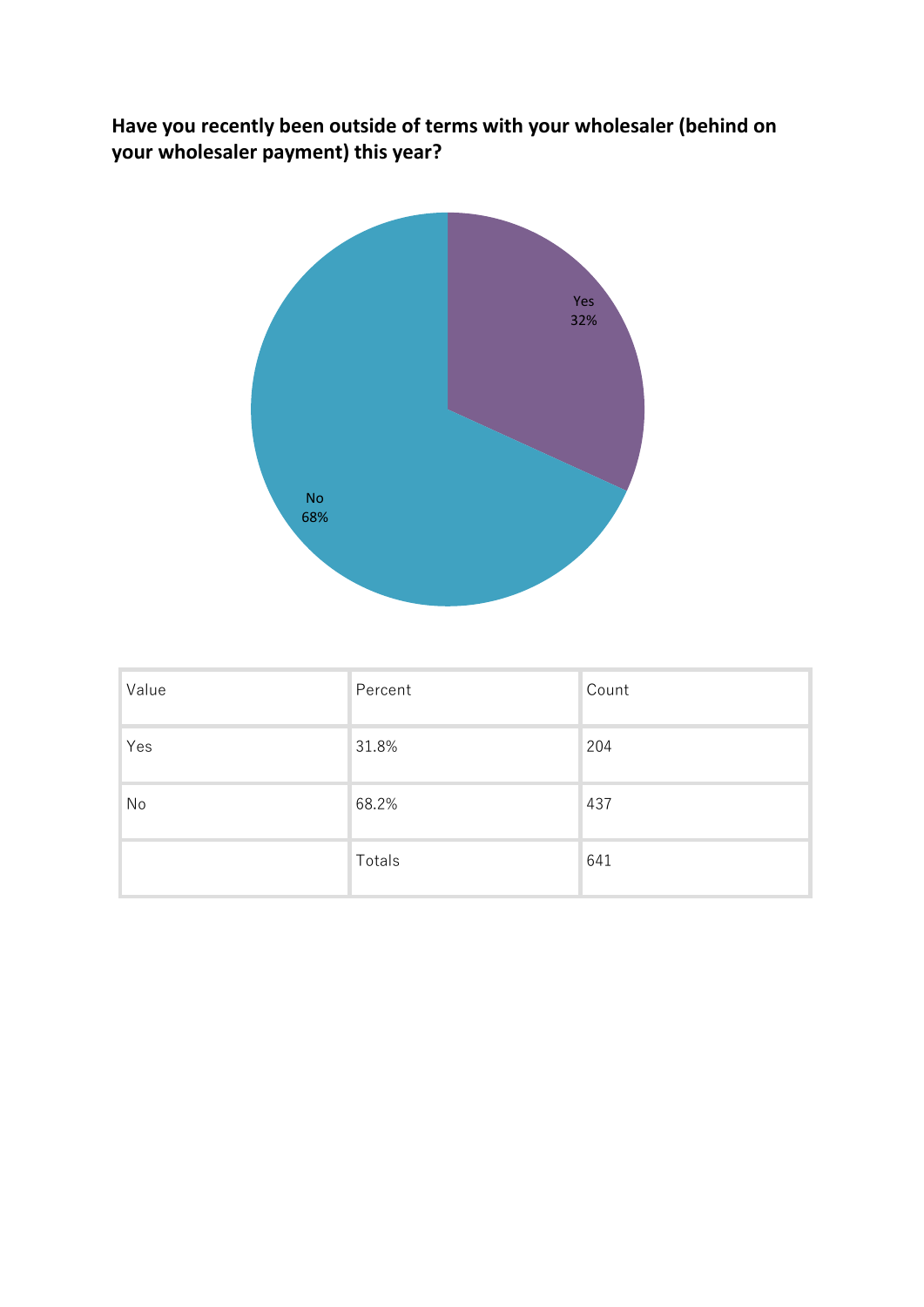**Have you recently been outside of terms with your wholesaler (behind on your wholesaler payment) this year?**



| Value | Percent | Count |
|-------|---------|-------|
| Yes   | 31.8%   | 204   |
| No    | 68.2%   | 437   |
|       | Totals  | 641   |